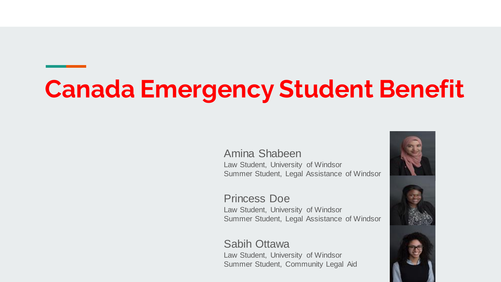# **Canada Emergency Student Benefit**

Amina Shabeen Law Student, University of Windsor Summer Student, Legal Assistance of Windsor

Princess Doe Law Student, University of Windsor Summer Student, Legal Assistance of Windsor

#### Sabih Ottawa

Law Student, University of Windsor Summer Student, Community Legal Aid

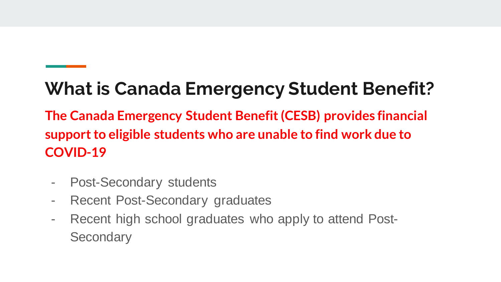## **What is Canada Emergency Student Benefit?**

**The Canada Emergency Student Benefit (CESB) provides financial support to eligible students who are unable to find work due to COVID-19** 

- Post-Secondary students
- Recent Post-Secondary graduates
- Recent high school graduates who apply to attend Post-**Secondary**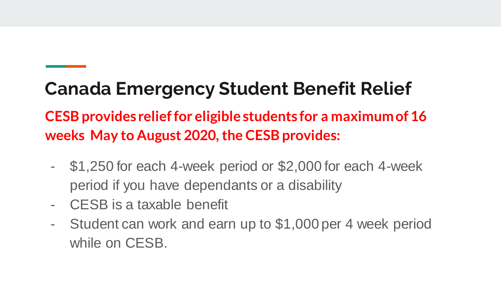## **Canada Emergency Student Benefit Relief**

#### **CESB provides relief for eligible students for a maximum of 16 weeks May to August 2020, the CESB provides:**

- \$1,250 for each 4-week period or \$2,000 for each 4-week period if you have dependants or a disability
- CESB is a taxable benefit
- Student can work and earn up to \$1,000 per 4 week period while on CESB.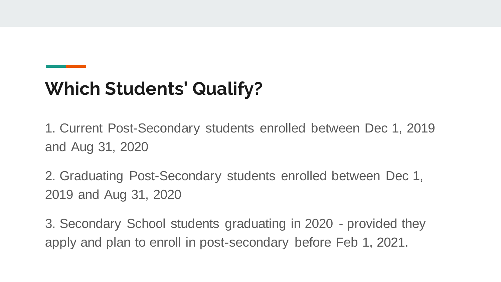## **Which Students' Qualify?**

1. Current Post-Secondary students enrolled between Dec 1, 2019 and Aug 31, 2020

2. Graduating Post-Secondary students enrolled between Dec 1, 2019 and Aug 31, 2020

3. Secondary School students graduating in 2020 - provided they apply and plan to enroll in post-secondary before Feb 1, 2021.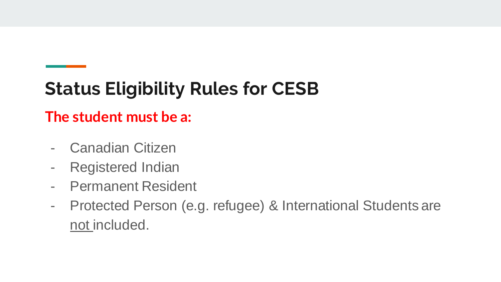## **Status Eligibility Rules for CESB**

#### **The student must be a:**

- Canadian Citizen
- Registered Indian
- Permanent Resident
- Protected Person (e.g. refugee) & International Students are not included.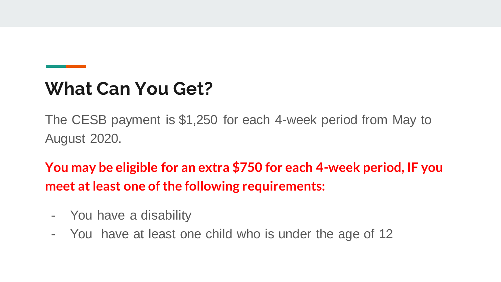#### **What Can You Get?**

The CESB payment is \$1,250 for each 4-week period from May to August 2020.

**You may be eligible for an extra \$750 for each 4-week period, IF you meet at least one of the following requirements:** 

- You have a disability
- You have at least one child who is under the age of 12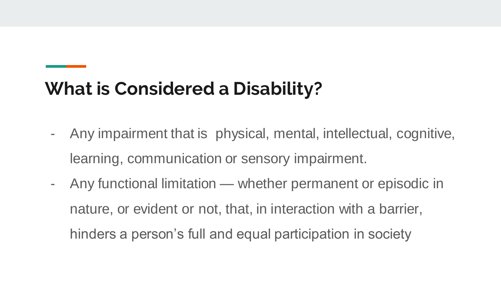### **What is Considered a Disability?**

- Any impairment that is physical, mental, intellectual, cognitive, learning, communication or sensory impairment.
- Any functional limitation whether permanent or episodic in nature, or evident or not, that, in interaction with a barrier, hinders a person's full and equal participation in society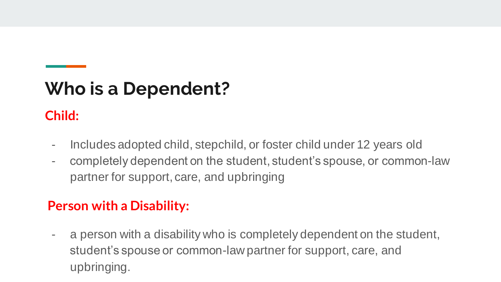## **Who is a Dependent?**

#### **Child:**

- Includes adopted child, stepchild, or foster child under 12 years old
- completely dependent on the student, student's spouse, or common-law partner for support, care, and upbringing

#### **Person with a Disability:**

- a person with a disability who is completely dependent on the student, student's spouse or common-law partner for support, care, and upbringing.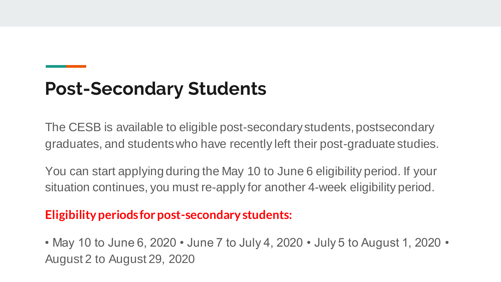### **Post-Secondary Students**

The CESB is available to eligible post-secondary students, postsecondary graduates, and students who have recently left their post-graduate studies.

You can start applying during the May 10 to June 6 eligibility period. If your situation continues, you must re-apply for another 4-week eligibility period.

#### **Eligibility periods for post-secondary students:**

• May 10 to June 6, 2020 • June 7 to July 4, 2020 • July 5 to August 1, 2020 • August 2 to August 29, 2020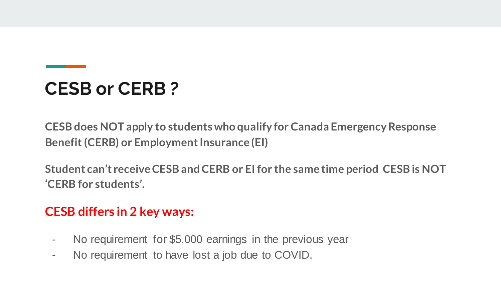## **CESB or CERB ?**

**CESB does NOT apply to students who qualify for Canada Emergency Response Benefit (CERB) or Employment Insurance (EI)** 

**Student can't receive CESB and CERB or EI for the same time period CESB is NOT 'CERB for students'.** 

#### **CESB differs in 2 key ways:**

- No requirement for \$5,000 earnings in the previous year
- No requirement to have lost a job due to COVID.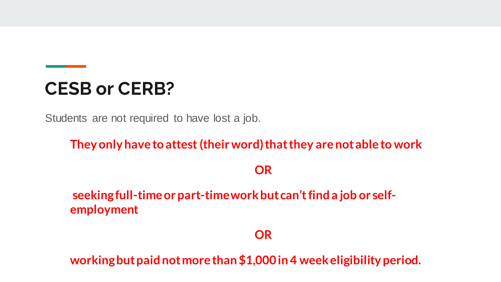#### **CESB or CERB?**

Students are not required to have lost a job.

**They only have to attest (their word) that they are not able to work** 

**OR**

**seeking full-time or part-time work but can't find a job or selfemployment** 

**OR**

**working but paid not more than \$1,000 in 4 week eligibility period.**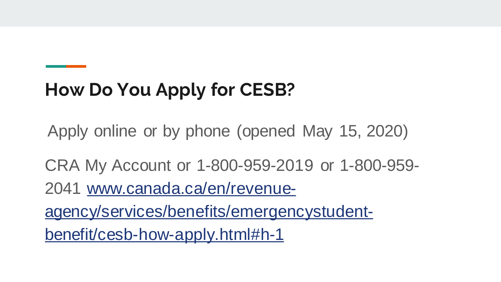## **How Do You Apply for CESB?**

Apply online or by phone (opened May 15, 2020)

CRA My Account or 1-800-959-2019 or 1-800-959- 2041 www.canada.ca/en/revenueagency/services/benefits/emergencystudentbenefit/cesb-how-apply.html#h-1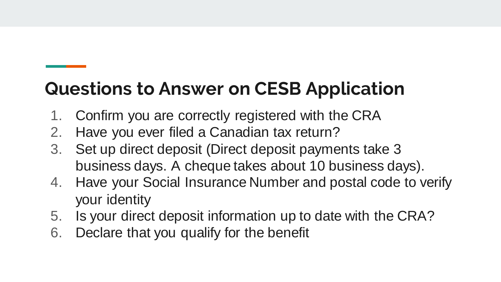## **Questions to Answer on CESB Application**

- 1. Confirm you are correctly registered with the CRA
- 2. Have you ever filed a Canadian tax return?
- 3. Set up direct deposit (Direct deposit payments take 3 business days. A cheque takes about 10 business days).
- 4. Have your Social Insurance Number and postal code to verify your identity
- 5. Is your direct deposit information up to date with the CRA?
- 6. Declare that you qualify for the benefit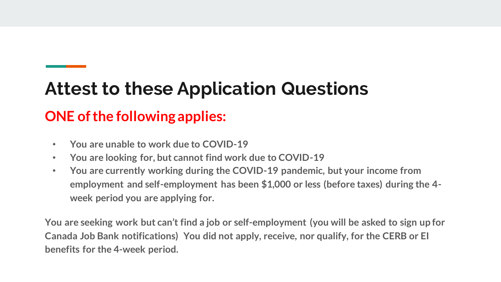## **Attest to these Application Questions**

#### **ONE of the following applies:**

- **You are unable to work due to COVID-19**
- **You are looking for, but cannot find work due to COVID-19**
- **You are currently working during the COVID-19 pandemic, but your income from employment and self-employment has been \$1,000 or less (before taxes) during the 4 week period you are applying for.**

**You are seeking work but can't find a job or self-employment (you will be asked to sign up for Canada Job Bank notifications) You did not apply, receive, nor qualify, for the CERB or EI benefits for the 4-week period.**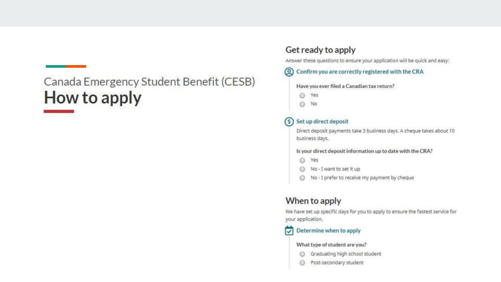#### Canada Emergency Student Benefit (CESB) How to apply

#### Get ready to apply

Answer these questions to ensure your application will be quick and easy:

#### (Q) Confirm you are correctly registered with the CRA

#### Have you ever filed a Canadian tax return?

- ◎ Yes
- No ⊙

#### S Set up direct deposit

Direct deposit payments take 3 business days. A cheque takes about 10 business days.

Is your direct deposit information up to date with the CRA?

- Yes  $\odot$
- No I want to set it up
- No I prefer to receive my payment by cheque

#### When to apply

We have set up specific days for you to apply to ensure the fastest service for your application.

#### Determine when to apply ⊡

#### What type of student are you?

- Graduating high school student ⊚
- Post-secondary student ⊜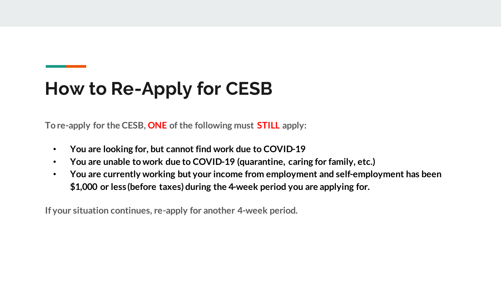## **How to Re-Apply for CESB**

**To re-apply for the CESB, ONE of the following must STILL apply:**

- **You are looking for, but cannot find work due to COVID-19**
- **You are unable to work due to COVID-19 (quarantine, caring for family, etc.)**
- **You are currently working but your income from employment and self-employment has been \$1,000 or less (before taxes) during the 4-week period you are applying for.**

**If your situation continues, re-apply for another 4-week period.**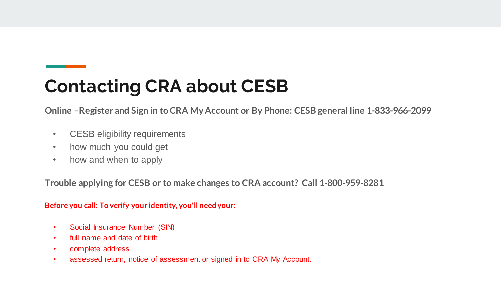## **Contacting CRA about CESB**

**Online –Register and Sign in to CRA My Account or By Phone: CESB general line 1-833-966-2099** 

- CESB eligibility requirements
- how much you could get
- how and when to apply

**Trouble applying for CESB or to make changes to CRA account? Call 1-800-959-8281**

**Before you call: To verify your identity, you'll need your:**

- Social Insurance Number (SIN)
- full name and date of birth
- complete address
- assessed return, notice of assessment or signed in to CRA My Account.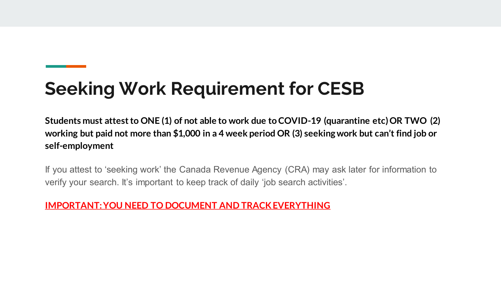## **Seeking Work Requirement for CESB**

**Students must attest to ONE (1) of not able to work due to COVID-19 (quarantine etc) OR TWO (2) working but paid not more than \$1,000 in a 4 week period OR (3) seeking work but can't find job or self-employment**

If you attest to 'seeking work' the Canada Revenue Agency (CRA) may ask later for information to verify your search. It's important to keep track of daily 'job search activities'.

**IMPORTANT: YOU NEED TO DOCUMENT AND TRACK EVERYTHING**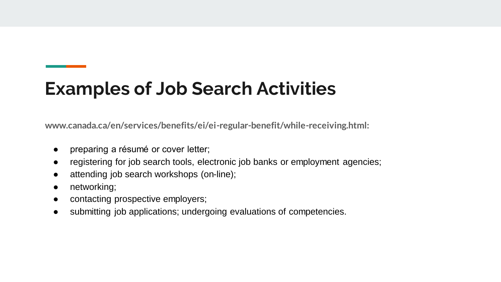### **Examples of Job Search Activities**

**www.canada.ca/en/services/benefits/ei/ei-regular-benefit/while-receiving.html:**

- preparing a résumé or cover letter;
- registering for job search tools, electronic job banks or employment agencies;
- attending job search workshops (on-line);
- networking;
- contacting prospective employers;
- submitting job applications; undergoing evaluations of competencies.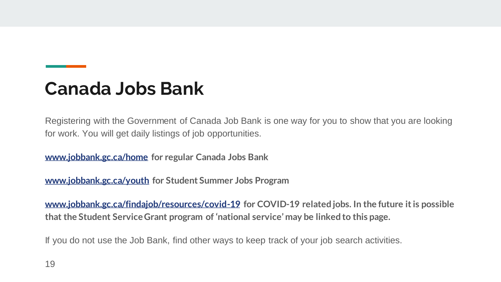### **Canada Jobs Bank**

Registering with the Government of Canada Job Bank is one way for you to show that you are looking for work. You will get daily listings of job opportunities.

**www.jobbank.gc.ca/home for regular Canada Jobs Bank**

**www.jobbank.gc.ca/youth for Student Summer Jobs Program**

**www.jobbank.gc.ca/findajob/resources/covid-19 for COVID-19 related jobs. In the future it is possible that the Student Service Grant program of 'national service' may be linked to this page.**

If you do not use the Job Bank, find other ways to keep track of your job search activities.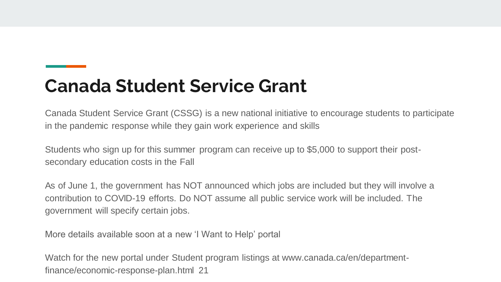### **Canada Student Service Grant**

Canada Student Service Grant (CSSG) is a new national initiative to encourage students to participate in the pandemic response while they gain work experience and skills

Students who sign up for this summer program can receive up to \$5,000 to support their postsecondary education costs in the Fall

As of June 1, the government has NOT announced which jobs are included but they will involve a contribution to COVID-19 efforts. Do NOT assume all public service work will be included. The government will specify certain jobs.

More details available soon at a new 'I Want to Help' portal

Watch for the new portal under Student program listings at www.canada.ca/en/departmentfinance/economic-response-plan.html 21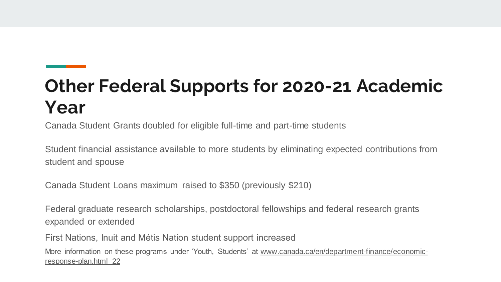## **Other Federal Supports for 2020-21 Academic Year**

Canada Student Grants doubled for eligible full-time and part-time students

Student financial assistance available to more students by eliminating expected contributions from student and spouse

Canada Student Loans maximum raised to \$350 (previously \$210)

Federal graduate research scholarships, postdoctoral fellowships and federal research grants expanded or extended

First Nations, Inuit and Métis Nation student support increased

More information on these programs under 'Youth, Students' at www.canada.ca/en/department-finance/economicresponse-plan.html 22